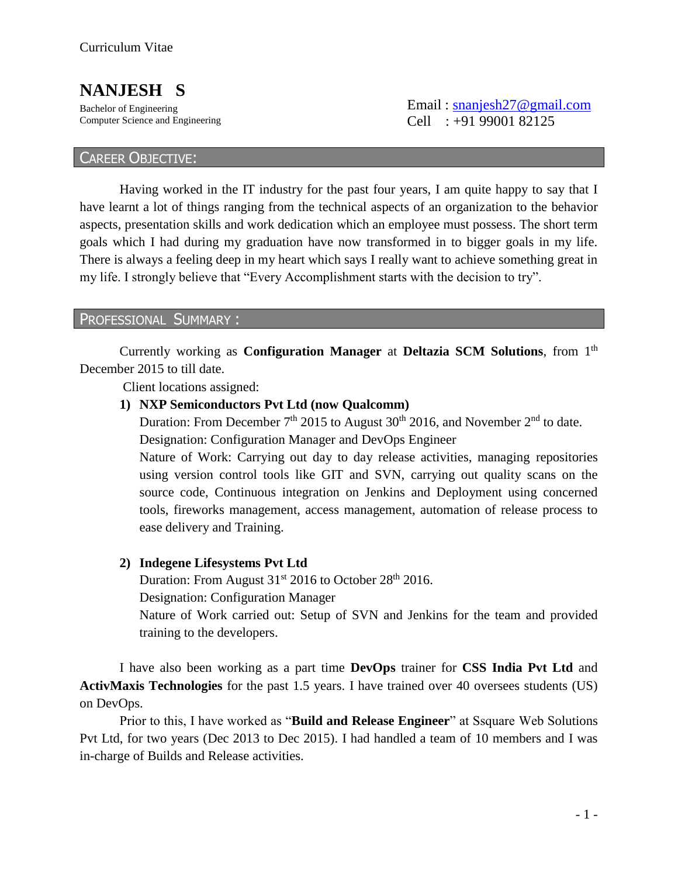# **NANJESH S**

Bachelor of Engineering Computer Science and Engineering  Email : [snanjesh27@gmail.com](mailto:snanjesh27@gmail.com)  Cell : +91 99001 82125

### CAREER OBJECTIVE:

Having worked in the IT industry for the past four years, I am quite happy to say that I have learnt a lot of things ranging from the technical aspects of an organization to the behavior aspects, presentation skills and work dedication which an employee must possess. The short term goals which I had during my graduation have now transformed in to bigger goals in my life. There is always a feeling deep in my heart which says I really want to achieve something great in my life. I strongly believe that "Every Accomplishment starts with the decision to try".

#### PROFESSIONAL SUMMARY :

Currently working as **Configuration Manager** at **Deltazia SCM Solutions**, from 1th December 2015 to till date.

Client locations assigned:

**1) NXP Semiconductors Pvt Ltd (now Qualcomm)**

Duration: From December  $7<sup>th</sup>$  2015 to August 30<sup>th</sup> 2016, and November  $2<sup>nd</sup>$  to date. Designation: Configuration Manager and DevOps Engineer

Nature of Work: Carrying out day to day release activities, managing repositories using version control tools like GIT and SVN, carrying out quality scans on the source code, Continuous integration on Jenkins and Deployment using concerned tools, fireworks management, access management, automation of release process to ease delivery and Training.

#### **2) Indegene Lifesystems Pvt Ltd**

Duration: From August  $31<sup>st</sup>$  2016 to October 28<sup>th</sup> 2016.

Designation: Configuration Manager

Nature of Work carried out: Setup of SVN and Jenkins for the team and provided training to the developers.

I have also been working as a part time **DevOps** trainer for **CSS India Pvt Ltd** and **ActivMaxis Technologies** for the past 1.5 years. I have trained over 40 oversees students (US) on DevOps.

Prior to this, I have worked as "**Build and Release Engineer**" at Ssquare Web Solutions Pvt Ltd, for two years (Dec 2013 to Dec 2015). I had handled a team of 10 members and I was in-charge of Builds and Release activities.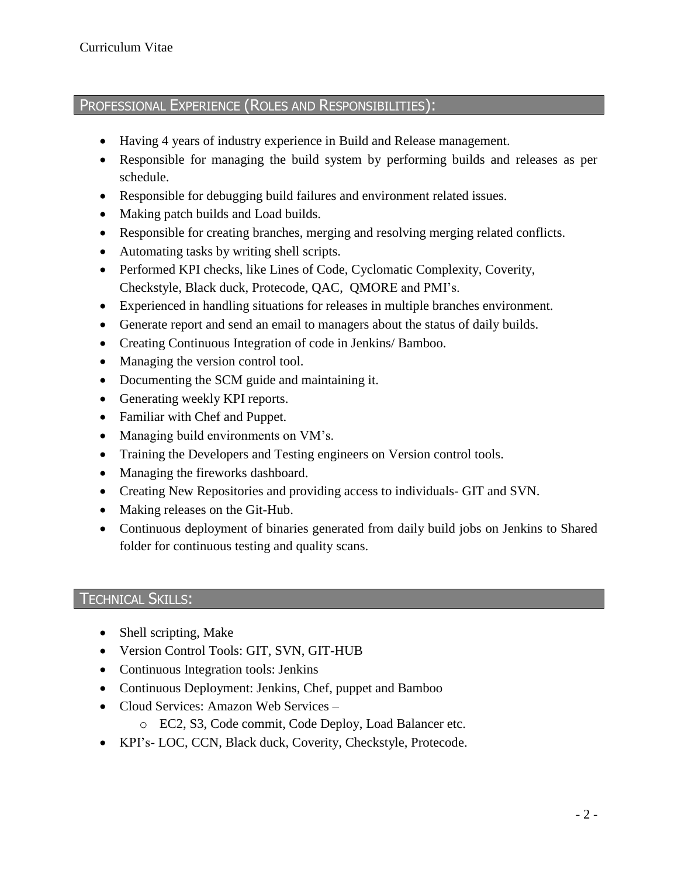## PROFESSIONAL EXPERIENCE (ROLES AND RESPONSIBILITIES):

- Having 4 years of industry experience in Build and Release management.
- Responsible for managing the build system by performing builds and releases as per schedule.
- Responsible for debugging build failures and environment related issues.
- Making patch builds and Load builds.
- Responsible for creating branches, merging and resolving merging related conflicts.
- Automating tasks by writing shell scripts.
- Performed KPI checks, like Lines of Code, Cyclomatic Complexity, Coverity, Checkstyle, Black duck, Protecode, QAC, QMORE and PMI's.
- Experienced in handling situations for releases in multiple branches environment.
- Generate report and send an email to managers about the status of daily builds.
- Creating Continuous Integration of code in Jenkins/ Bamboo.
- Managing the version control tool.
- Documenting the SCM guide and maintaining it.
- Generating weekly KPI reports.
- Familiar with Chef and Puppet.
- Managing build environments on VM's.
- Training the Developers and Testing engineers on Version control tools.
- Managing the fireworks dashboard.
- Creating New Repositories and providing access to individuals- GIT and SVN.
- Making releases on the Git-Hub.
- Continuous deployment of binaries generated from daily build jobs on Jenkins to Shared folder for continuous testing and quality scans.

### TECHNICAL SKILLS:

- Shell scripting, Make
- Version Control Tools: GIT, SVN, GIT-HUB
- Continuous Integration tools: Jenkins
- Continuous Deployment: Jenkins, Chef, puppet and Bamboo
- Cloud Services: Amazon Web Services
	- o EC2, S3, Code commit, Code Deploy, Load Balancer etc.
- KPI's- LOC, CCN, Black duck, Coverity, Checkstyle, Protecode.